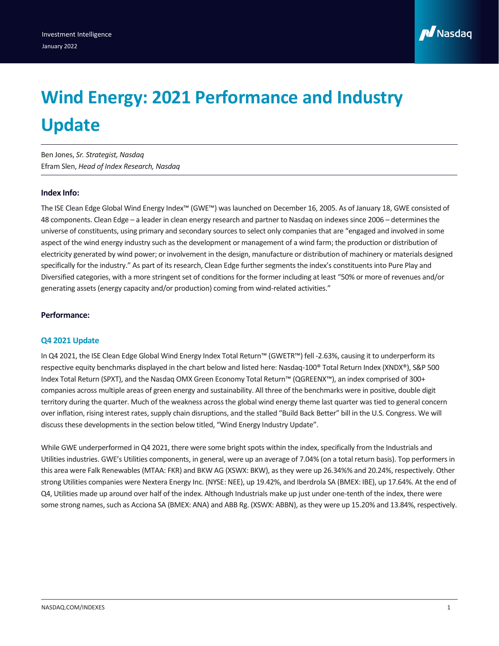

# **Wind Energy: 2021 Performance and Industry Update**

Ben Jones, *Sr. Strategist, Nasdaq* Efram Slen, *Head of Index Research, Nasdaq*

# **Index Info:**

The ISE Clean Edge Global Wind Energy Index™ (GWE™) was launched on December 16, 2005. As of January 18, GWE consisted of 48 components. Clean Edge – a leader in clean energy research and partner to Nasdaq on indexes since 2006 – determines the universe of constituents, using primary and secondary sources to select only companies that are "engaged and involved in some aspect of the wind energy industry such as the development or management of a wind farm; the production or distribution of electricity generated by wind power; or involvement in the design, manufacture or distribution of machinery or materials designed specifically for the industry." As part of its research, Clean Edge further segments the index's constituents into Pure Play and Diversified categories, with a more stringent set of conditions for the former including at least "50% or more of revenues and/or generating assets (energy capacity and/or production) coming from wind-related activities."

# **Performance:**

# **Q4 2021 Update**

In Q4 2021, the ISE Clean Edge Global Wind Energy Index Total Return™ (GWETR™) fell -2.63%, causing it to underperform its respective equity benchmarks displayed in the chart below and listed here: Nasdaq-100® Total Return Index (XNDX®), S&P 500 Index Total Return (SPXT), and the Nasdaq OMX Green Economy Total Return™ (QGREENX™), an index comprised of 300+ companies across multiple areas of green energy and sustainability. All three of the benchmarks were in positive, double digit territory during the quarter. Much of the weakness across the global wind energy theme last quarter was tied to general concern over inflation, rising interest rates, supply chain disruptions, and the stalled "Build Back Better" bill in the U.S. Congress. We will discuss these developments in the section below titled, "Wind Energy Industry Update".

While GWE underperformed in Q4 2021, there were some bright spots within the index, specifically from the Industrials and Utilities industries. GWE's Utilities components, in general, were up an average of 7.04% (on a total return basis). Top performers in this area were Falk Renewables (MTAA: FKR) and BKW AG (XSWX: BKW), as they were up 26.34%% and 20.24%, respectively. Other strong Utilities companies were Nextera Energy Inc. (NYSE: NEE), up 19.42%, and Iberdrola SA (BMEX: IBE), up 17.64%. At the end of Q4, Utilities made up around over half of the index. Although Industrials make up just under one-tenth of the index, there were some strong names, such as Acciona SA (BMEX: ANA) and ABB Rg. (XSWX: ABBN), as they were up 15.20% and 13.84%, respectively.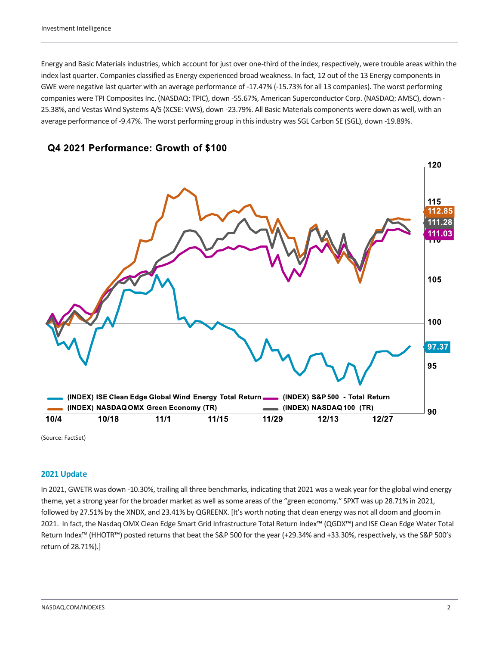Energy and Basic Materials industries, which account for just over one-third of the index, respectively, were trouble areas within the index last quarter. Companies classified as Energy experienced broad weakness. In fact, 12 out of the 13 Energy components in GWE were negative last quarter with an average performance of -17.47% (-15.73% for all 13 companies). The worst performing companies were TPI Composites Inc. (NASDAQ: TPIC), down -55.67%, American Superconductor Corp. (NASDAQ: AMSC), down - 25.38%, and Vestas Wind Systems A/S (XCSE: VWS), down -23.79%. All Basic Materials components were down as well, with an average performance of -9.47%. The worst performing group in this industry was SGL Carbon SE (SGL), down -19.89%.





(Source: FactSet)

# **2021 Update**

In 2021, GWETR was down -10.30%, trailing all three benchmarks, indicating that 2021 was a weak year for the global wind energy theme, yet a strong year for the broader market as well as some areas of the "green economy." SPXT was up 28.71% in 2021, followed by 27.51% by the XNDX, and 23.41% by QGREENX. [It's worth noting that clean energy was not all doom and gloom in 2021. In fact, the Nasdaq OMX Clean Edge Smart Grid Infrastructure Total Return Index™ (QGDX™) and ISE Clean Edge Water Total Return Index™ (HHOTR™) posted returns that beat the S&P 500 for the year (+29.34% and +33.30%, respectively, vs the S&P 500's return of 28.71%).]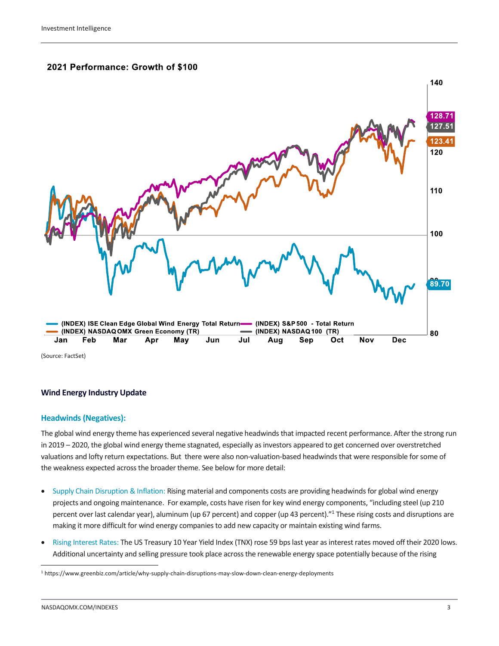# 2021 Performance: Growth of \$100



# **Wind Energy Industry Update**

### **Headwinds (Negatives):**

The global wind energy theme has experienced several negative headwinds that impacted recent performance. After the strong run in 2019 – 2020, the global wind energy theme stagnated, especially as investors appeared to get concerned over overstretched valuations and lofty return expectations. But there were also non-valuation-based headwinds that were responsible for some of the weakness expected across the broader theme. See below for more detail:

- Supply Chain Disruption & Inflation: Rising material and components costs are providing headwinds for global wind energy projects and ongoing maintenance. For example, costs have risen for key wind energy components, "including steel (up 210 percent over last calendar year), aluminum (up 67 percent) and copper (up 43 percent)."<sup>1</sup> These rising costs and disruptions are making it more difficult for wind energy companies to add new capacity or maintain existing wind farms.
- Rising Interest Rates: The US Treasury 10 Year Yield Index (TNX) rose 59 bps last year as interest rates moved off their 2020 lows. Additional uncertainty and selling pressure took place across the renewable energy space potentially because of the rising

<sup>1</sup> https://www.greenbiz.com/article/why-supply-chain-disruptions-may-slow-down-clean-energy-deployments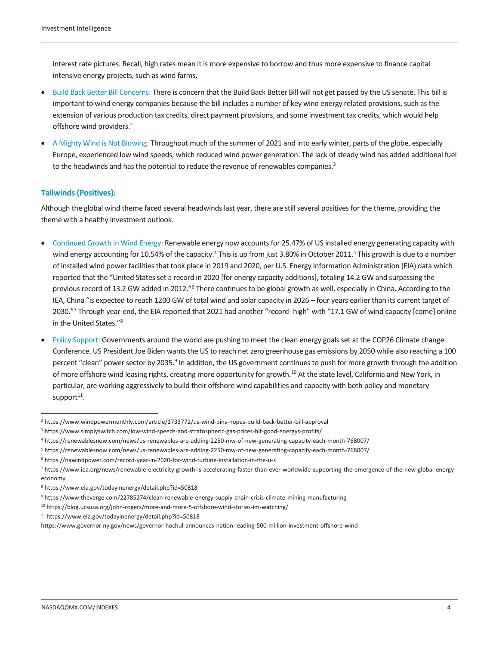interest rate pictures. Recall, high rates mean it is more expensive to borrow and thus more expensive to finance capital intensive energy projects, such as wind farms.

- Build Back Better Bill Concerns: There is concern that the Build Back Better Bill will not get passed by the US senate. This bill is important to wind energy companies because the bill includes a number of key wind energy related provisions, such as the extension of various production tax credits, direct payment provisions, and some investment tax credits, which would help offshore wind providers.<sup>2</sup>
- A Mighty Wind is Not Blowing: Throughout much of the summer of 2021 and into early winter, parts of the globe, especially Europe, experienced low wind speeds, which reduced wind power generation. The lack of steady wind has added additional fuel to the headwinds and has the potential to reduce the revenue of renewables companies.<sup>3</sup>

# **Tailwinds (Positives):**

Although the global wind theme faced several headwinds last year, there are still several positives for the theme, providing the theme with a healthy investment outlook.

- Continued Growth in Wind Energy: Renewable energy now accounts for 25.47% of US installed energy generating capacity with wind energy accounting for 10.54% of the capacity.<sup>4</sup> This is up from just 3.80% in October 2011.<sup>5</sup> This growth is due to a number of installed wind power facilities that took place in 2019 and 2020, per U.S. Energy Information Administration (EIA) data which reported that the "United States set a record in 2020 [for energy capacity additions], totaling 14.2 GW and surpassing the previous record of 13.2 GW added in 2012."<sup>6</sup> There continues to be global growth as well, especially in China. According to the IEA, China "is expected to reach 1200 GW of total wind and solar capacity in 2026 – four years earlier than its current target of 2030."<sup>7</sup> Through year-end, the EIA reported that 2021 had another "record- high" with "17.1 GW of wind capacity [come] online in the United States."<sup>8</sup>
- Policy Support: Governments around the world are pushing to meet the clean energy goals set at the COP26 Climate change Conference. US President Joe Biden wants the US to reach net zero greenhouse gas emissions by 2050 while also reaching a 100 percent "clean" power sector by 2035.<sup>9</sup> In addition, the US government continues to push for more growth through the addition of more offshore wind leasing rights, creating more opportunity for growth.<sup>10</sup> At the state level, California and New York, in particular, are working aggressively to build their offshore wind capabilities and capacity with both policy and monetary support<sup>11</sup>.

<sup>2</sup> https://www.windpowermonthly.com/article/1733772/us-wind-pins-hopes-build-back-better-bill-approval

<sup>3</sup> https://www.simplyswitch.com/low-wind-speeds-and-stratospheric-gas-prices-hit-good-energys-profits/

<sup>4</sup> https://renewablesnow.com/news/us-renewables-are-adding-2250-mw-of-new-generating-capacity-each-month-768007/

<sup>5</sup> https://renewablesnow.com/news/us-renewables-are-adding-2250-mw-of-new-generating-capacity-each-month-768007/

<sup>6</sup> https://nawindpower.com/record-year-in-2020-for-wind-turbine-installation-in-the-u-s

<sup>7</sup> https://www.iea.org/news/renewable-electricity-growth-is-accelerating-faster-than-ever-worldwide-supporting-the-emergence-of-the-new-global-energyeconomy

<sup>8</sup> https://www.eia.gov/todayinenergy/detail.php?id=50818

<sup>9</sup> https://www.theverge.com/22785274/clean-renewable-energy-supply-chain-crisis-climate-mining-manufacturing

<sup>10</sup> https://blog.ucsusa.org/john-rogers/more-and-more-5-offshore-wind-stories-im-watching/

<sup>11</sup> <https://www.eia.gov/todayinenergy/detail.php?id=50818>

<https://www.governor.ny.gov/news/governor-hochul-announces-nation-leading-500-million-investment-offshore-wind>